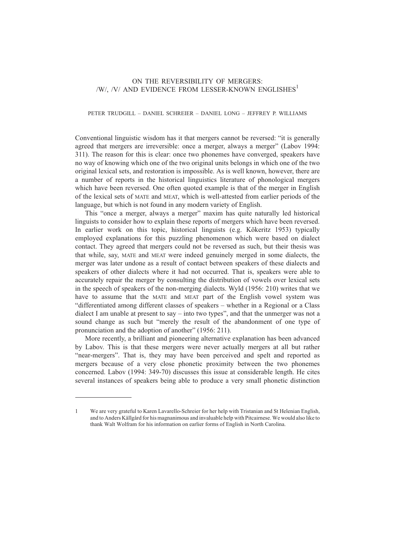# ON THE REVERSIBILITY OF MERGERS: /W/,  $/V$  AND EVIDENCE FROM LESSER-KNOWN ENGLISHES<sup>1</sup>

## PETER TRUDGILL – DANIEL SCHREIER – DANIEL LONG – JEFFREY P. WILLIAMS

Conventional linguistic wisdom has it that mergers cannot be reversed: "it is generally agreed that mergers are irreversible: once a merger, always a merger" (Labov 1994: 311). The reason for this is clear: once two phonemes have converged, speakers have no way of knowing which one of the two original units belongs in which one of the two original lexical sets, and restoration is impossible. As is well known, however, there are a number of reports in the historical linguistics literature of phonological mergers which have been reversed. One often quoted example is that of the merger in English of the lexical sets of MATE and MEAT, which is well-attested from earlier periods of the language, but which is not found in any modern variety of English.

This "once a merger, always a merger" maxim has quite naturally led historical linguists to consider how to explain these reports of mergers which have been reversed. In earlier work on this topic, historical linguists (e.g. Kökeritz 1953) typically employed explanations for this puzzling phenomenon which were based on dialect contact. They agreed that mergers could not be reversed as such, but their thesis was that while, say, MATE and MEAT were indeed genuinely merged in some dialects, the merger was later undone as a result of contact between speakers of these dialects and speakers of other dialects where it had not occurred. That is, speakers were able to accurately repair the merger by consulting the distribution of vowels over lexical sets in the speech of speakers of the non-merging dialects. Wyld (1956: 210) writes that we have to assume that the MATE and MEAT part of the English vowel system was "differentiated among different classes of speakers – whether in a Regional or a Class dialect I am unable at present to say – into two types", and that the unmerger was not a sound change as such but "merely the result of the abandonment of one type of pronunciation and the adoption of another" (1956: 211).

More recently, a brilliant and pioneering alternative explanation has been advanced by Labov. This is that these mergers were never actually mergers at all but rather "near-mergers". That is, they may have been perceived and spelt and reported as mergers because of a very close phonetic proximity between the two phonemes concerned. Labov (1994: 349-70) discusses this issue at considerable length. He cites several instances of speakers being able to produce a very small phonetic distinction

<sup>1</sup> We are very grateful to Karen Lavarello-Schreier for her help with Tristanian and St Helenian English, and to Anders Källgård for his magnanimous and invaluable help with Pitcairnese. We would also like to thank Walt Wolfram for his information on earlier forms of English in North Carolina.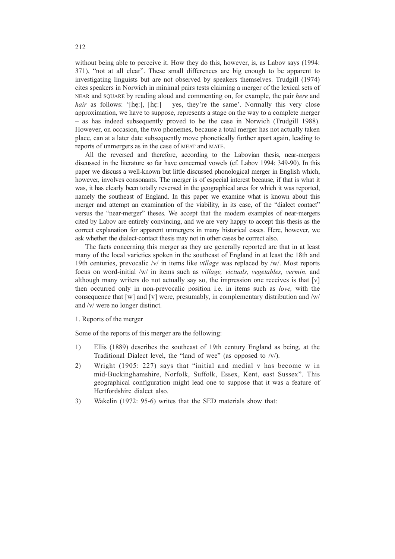without being able to perceive it. How they do this, however, is, as Labov says (1994: 371), "not at all clear". These small differences are big enough to be apparent to investigating linguists but are not observed by speakers themselves. Trudgill (1974) cites speakers in Norwich in minimal pairs tests claiming a merger of the lexical sets of NEAR and SQUARE by reading aloud and commenting on, for example, the pair *here* and *hair* as follows: '[he�:], [heç:] – yes, they're the same'. Normally this very close approximation, we have to suppose, represents a stage on the way to a complete merger – as has indeed subsequently proved to be the case in Norwich (Trudgill 1988). However, on occasion, the two phonemes, because a total merger has not actually taken place, can at a later date subsequently move phonetically further apart again, leading to reports of unmergers as in the case of MEAT and MATE.

All the reversed and therefore, according to the Labovian thesis, near-mergers discussed in the literature so far have concerned vowels (cf. Labov 1994: 349-90). In this paper we discuss a well-known but little discussed phonological merger in English which, however, involves consonants. The merger is of especial interest because, if that is what it was, it has clearly been totally reversed in the geographical area for which it was reported, namely the southeast of England. In this paper we examine what is known about this merger and attempt an examination of the viability, in its case, of the "dialect contact" versus the "near-merger" theses. We accept that the modern examples of near-mergers cited by Labov are entirely convincing, and we are very happy to accept this thesis as the correct explanation for apparent unmergers in many historical cases. Here, however, we ask whether the dialect-contact thesis may not in other cases be correct also.

The facts concerning this merger as they are generally reported are that in at least many of the local varieties spoken in the southeast of England in at least the 18th and 19th centuries, prevocalic /v/ in items like *village* was replaced by /w/. Most reports focus on word-initial /w/ in items such as *village, victuals, vegetables, vermin*, and although many writers do not actually say so, the impression one receives is that  $[v]$ then occurred only in non-prevocalic position i.e. in items such as *love,* with the consequence that [w] and [v] were, presumably, in complementary distribution and /w/ and /v/ were no longer distinct.

# 1. Reports of the merger

Some of the reports of this merger are the following:

- 1) Ellis (1889) describes the southeast of 19th century England as being, at the Traditional Dialect level, the "land of wee" (as opposed to  $\sqrt{v}$ ).
- 2) Wright (1905: 227) says that "initial and medial v has become w in mid-Buckinghamshire, Norfolk, Suffolk, Essex, Kent, east Sussex". This geographical configuration might lead one to suppose that it was a feature of Hertfordshire dialect also.
- 3) Wakelin (1972: 95-6) writes that the SED materials show that: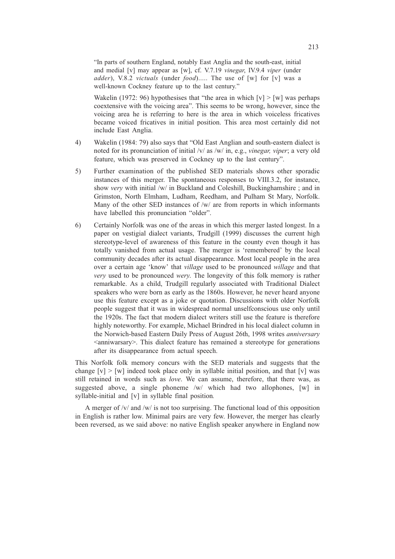"In parts of southern England, notably East Anglia and the south-east, initial and medial [v] may appear as [w], cf. V.7.19 *vinegar*, IV.9.4 *viper* (under *adder*), V.8.2 *victuals* (under *food*)..... The use of [w] for [v] was a well-known Cockney feature up to the last century."

Wakelin (1972: 96) hypothesises that "the area in which  $[v] > [w]$  was perhaps coextensive with the voicing area". This seems to be wrong, however, since the voicing area he is referring to here is the area in which voiceless fricatives became voiced fricatives in initial position. This area most certainly did not include East Anglia.

- 4) Wakelin (1984: 79) also says that "Old East Anglian and south-eastern dialect is noted for its pronunciation of initial /v/ as /w/ in, e.g., *vinegar, viper*; a very old feature, which was preserved in Cockney up to the last century".
- 5) Further examination of the published SED materials shows other sporadic instances of this merger. The spontaneous responses to VIII.3.2, for instance, show *very* with initial /w/ in Buckland and Coleshill, Buckinghamshire ; and in Grimston, North Elmham, Ludham, Reedham, and Pulham St Mary, Norfolk. Many of the other SED instances of  $/w/$  are from reports in which informants have labelled this pronunciation "older".
- 6) Certainly Norfolk was one of the areas in which this merger lasted longest. In a paper on vestigial dialect variants, Trudgill (1999) discusses the current high stereotype-level of awareness of this feature in the county even though it has totally vanished from actual usage. The merger is 'remembered' by the local community decades after its actual disappearance. Most local people in the area over a certain age 'know' that *village* used to be pronounced *willage* and that *very* used to be pronounced *wery*. The longevity of this folk memory is rather remarkable. As a child, Trudgill regularly associated with Traditional Dialect speakers who were born as early as the 1860s. However, he never heard anyone use this feature except as a joke or quotation. Discussions with older Norfolk people suggest that it was in widespread normal unselfconscious use only until the 1920s. The fact that modern dialect writers still use the feature is therefore highly noteworthy. For example, Michael Brindred in his local dialect column in the Norwich-based Eastern Daily Press of August 26th, 1998 writes *anniversary* <anniwarsary>. This dialect feature has remained a stereotype for generations after its disappearance from actual speech.

This Norfolk folk memory concurs with the SED materials and suggests that the change  $[v] > [w]$  indeed took place only in syllable initial position, and that  $[v]$  was still retained in words such as *love*. We can assume, therefore, that there was, as suggested above, a single phoneme /w/ which had two allophones, [w] in syllable-initial and [v] in syllable final position*.*

A merger of /v/ and /w/ is not too surprising. The functional load of this opposition in English is rather low. Minimal pairs are very few. However, the merger has clearly been reversed, as we said above: no native English speaker anywhere in England now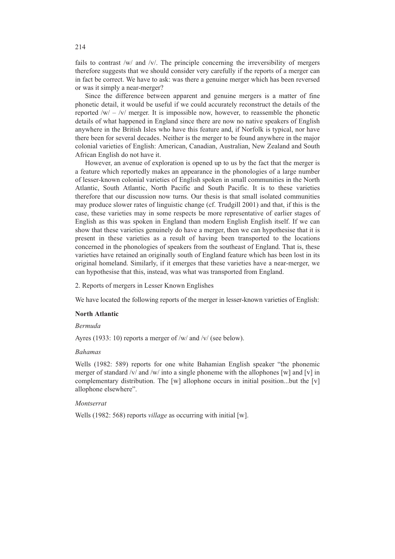fails to contrast /w/ and /v/. The principle concerning the irreversibility of mergers therefore suggests that we should consider very carefully if the reports of a merger can in fact be correct. We have to ask: was there a genuine merger which has been reversed or was it simply a near-merger?

Since the difference between apparent and genuine mergers is a matter of fine phonetic detail, it would be useful if we could accurately reconstruct the details of the reported  $\sqrt{w} - \sqrt{v}$  merger. It is impossible now, however, to reassemble the phonetic details of what happened in England since there are now no native speakers of English anywhere in the British Isles who have this feature and, if Norfolk is typical, nor have there been for several decades. Neither is the merger to be found anywhere in the major colonial varieties of English: American, Canadian, Australian, New Zealand and South African English do not have it.

However, an avenue of exploration is opened up to us by the fact that the merger is a feature which reportedly makes an appearance in the phonologies of a large number of lesser-known colonial varieties of English spoken in small communities in the North Atlantic, South Atlantic, North Pacific and South Pacific. It is to these varieties therefore that our discussion now turns. Our thesis is that small isolated communities may produce slower rates of linguistic change (cf. Trudgill 2001) and that, if this is the case, these varieties may in some respects be more representative of earlier stages of English as this was spoken in England than modern English English itself. If we can show that these varieties genuinely do have a merger, then we can hypothesise that it is present in these varieties as a result of having been transported to the locations concerned in the phonologies of speakers from the southeast of England. That is, these varieties have retained an originally south of England feature which has been lost in its original homeland. Similarly, if it emerges that these varieties have a near-merger, we can hypothesise that this, instead, was what was transported from England.

2. Reports of mergers in Lesser Known Englishes

We have located the following reports of the merger in lesser-known varieties of English:

## **North Atlantic**

## *Bermuda*

Ayres (1933: 10) reports a merger of /w/ and /v/ (see below).

## *Bahamas*

Wells (1982: 589) reports for one white Bahamian English speaker "the phonemic merger of standard /v/ and /w/ into a single phoneme with the allophones [w] and [v] in complementary distribution. The [w] allophone occurs in initial position...but the [v] allophone elsewhere".

#### *Montserrat*

Wells (1982: 568) reports *village* as occurring with initial [w].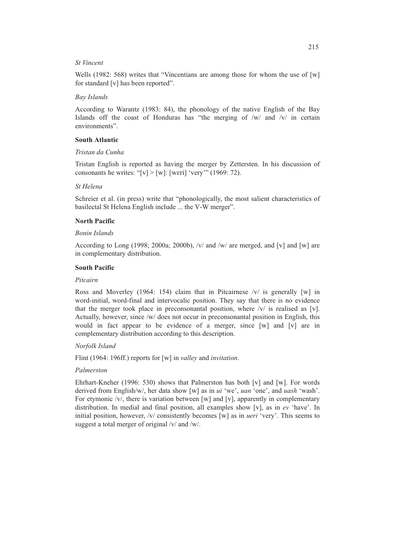# *St Vincent*

Wells (1982: 568) writes that "Vincentians are among those for whom the use of [w] for standard [v] has been reported".

## *Bay Islands*

According to Warantz (1983: 84), the phonology of the native English of the Bay Islands off the coast of Honduras has "the merging of /w/ and /v/ in certain environments".

# **South Atlantic**

# *Tristan da Cunha*

Tristan English is reported as having the merger by Zettersten. In his discussion of consonants he writes: "[v] > [w]: [weri] 'very'" (1969: 72).

## *St Helena*

Schreier et al. (in press) write that "phonologically, the most salient characteristics of basilectal St Helena English include ... the V-W merger".

## **North Pacific**

#### *Bonin Islands*

According to Long (1998; 2000a; 2000b),  $/v/$  and  $/w/$  are merged, and [v] and [w] are in complementary distribution.

# **South Pacific**

## *Pitcairn*

Ross and Moverley (1964: 154) claim that in Pitcairnese  $\sqrt{v}$  is generally [w] in word-initial, word-final and intervocalic position. They say that there is no evidence that the merger took place in preconsonantal position, where  $\sqrt{v}$  is realised as [v]. Actually, however, since /w/ does not occur in preconsonantal position in English, this would in fact appear to be evidence of a merger, since [w] and [v] are in complementary distribution according to this description.

## *Norfolk Island*

Flint (1964: 196ff.) reports for [w] in *valley* and *invitation*.

#### *Palmerston*

Ehrhart-Kneher (1996: 530) shows that Palmerston has both [v] and [w]. For words derived from English/w/, her data show [w] as in *ui* 'we', *uan* 'one', and *uash* 'wash'. For etymonic /v/, there is variation between [w] and [v], apparently in complementary distribution. In medial and final position, all examples show [v], as in *ev* 'have'. In initial position, however, /v/ consistently becomes [w] as in *ueri* 'very'. This seems to suggest a total merger of original /v/ and /w/.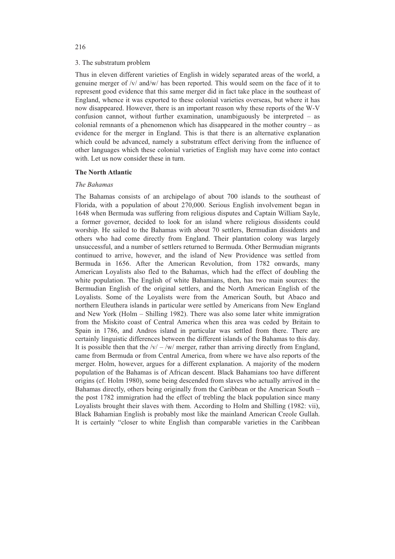## 3. The substratum problem

Thus in eleven different varieties of English in widely separated areas of the world, a genuine merger of /v/ and/w/ has been reported. This would seem on the face of it to represent good evidence that this same merger did in fact take place in the southeast of England, whence it was exported to these colonial varieties overseas, but where it has now disappeared. However, there is an important reason why these reports of the W-V confusion cannot, without further examination, unambiguously be interpreted – as colonial remnants of a phenomenon which has disappeared in the mother country  $-$  as evidence for the merger in England. This is that there is an alternative explanation which could be advanced, namely a substratum effect deriving from the influence of other languages which these colonial varieties of English may have come into contact with. Let us now consider these in turn.

## **The North Atlantic**

## *The Bahamas*

The Bahamas consists of an archipelago of about 700 islands to the southeast of Florida, with a population of about 270,000. Serious English involvement began in 1648 when Bermuda was suffering from religious disputes and Captain William Sayle, a former governor, decided to look for an island where religious dissidents could worship. He sailed to the Bahamas with about 70 settlers, Bermudian dissidents and others who had come directly from England. Their plantation colony was largely unsuccessful, and a number of settlers returned to Bermuda. Other Bermudian migrants continued to arrive, however, and the island of New Providence was settled from Bermuda in 1656. After the American Revolution, from 1782 onwards, many American Loyalists also fled to the Bahamas, which had the effect of doubling the white population. The English of white Bahamians, then, has two main sources: the Bermudian English of the original settlers, and the North American English of the Loyalists. Some of the Loyalists were from the American South, but Abaco and northern Eleuthera islands in particular were settled by Americans from New England and New York (Holm – Shilling 1982). There was also some later white immigration from the Miskito coast of Central America when this area was ceded by Britain to Spain in 1786, and Andros island in particular was settled from there. There are certainly linguistic differences between the different islands of the Bahamas to this day. It is possible then that the  $/v - /w$  merger, rather than arriving directly from England, came from Bermuda or from Central America, from where we have also reports of the merger. Holm, however, argues for a different explanation. A majority of the modern population of the Bahamas is of African descent. Black Bahamians too have different origins (cf. Holm 1980), some being descended from slaves who actually arrived in the Bahamas directly, others being originally from the Caribbean or the American South – the post 1782 immigration had the effect of trebling the black population since many Loyalists brought their slaves with them. According to Holm and Shilling (1982: vii), Black Bahamian English is probably most like the mainland American Creole Gullah. It is certainly "closer to white English than comparable varieties in the Caribbean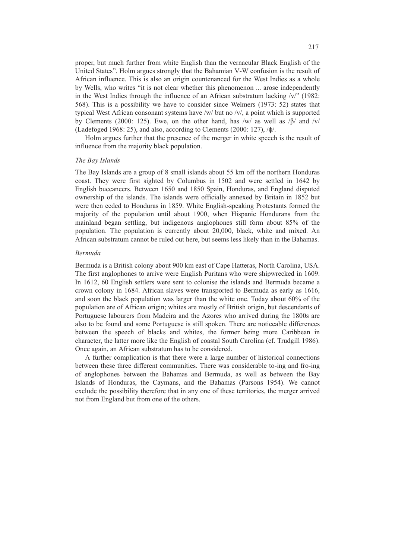proper, but much further from white English than the vernacular Black English of the United States". Holm argues strongly that the Bahamian V-W confusion is the result of African influence. This is also an origin countenanced for the West Indies as a whole by Wells, who writes "it is not clear whether this phenomenon ... arose independently in the West Indies through the influence of an African substratum lacking  $\sqrt{v''}$  (1982: 568). This is a possibility we have to consider since Welmers (1973: 52) states that typical West African consonant systems have /w/ but no /v/, a point which is supported by Clements (2000: 125). Ewe, on the other hand, has /w/ as well as  $\frac{1}{8}$  and  $\frac{1}{\sqrt{2}}$ (Ladefoged 1968: 25), and also, according to Clements (2000: 127),  $\phi$ .

Holm argues further that the presence of the merger in white speech is the result of influence from the majority black population.

#### *The Bay Islands*

The Bay Islands are a group of 8 small islands about 55 km off the northern Honduras coast. They were first sighted by Columbus in 1502 and were settled in 1642 by English buccaneers. Between 1650 and 1850 Spain, Honduras, and England disputed ownership of the islands. The islands were officially annexed by Britain in 1852 but were then ceded to Honduras in 1859. White English-speaking Protestants formed the majority of the population until about 1900, when Hispanic Hondurans from the mainland began settling, but indigenous anglophones still form about 85% of the population. The population is currently about 20,000, black, white and mixed. An African substratum cannot be ruled out here, but seems less likely than in the Bahamas.

#### *Bermuda*

Bermuda is a British colony about 900 km east of Cape Hatteras, North Carolina, USA. The first anglophones to arrive were English Puritans who were shipwrecked in 1609. In 1612, 60 English settlers were sent to colonise the islands and Bermuda became a crown colony in 1684. African slaves were transported to Bermuda as early as 1616, and soon the black population was larger than the white one. Today about 60% of the population are of African origin; whites are mostly of British origin, but descendants of Portuguese labourers from Madeira and the Azores who arrived during the 1800s are also to be found and some Portuguese is still spoken. There are noticeable differences between the speech of blacks and whites, the former being more Caribbean in character, the latter more like the English of coastal South Carolina (cf. Trudgill 1986). Once again, an African substratum has to be considered.

A further complication is that there were a large number of historical connections between these three different communities. There was considerable to-ing and fro-ing of anglophones between the Bahamas and Bermuda, as well as between the Bay Islands of Honduras, the Caymans, and the Bahamas (Parsons 1954). We cannot exclude the possibility therefore that in any one of these territories, the merger arrived not from England but from one of the others.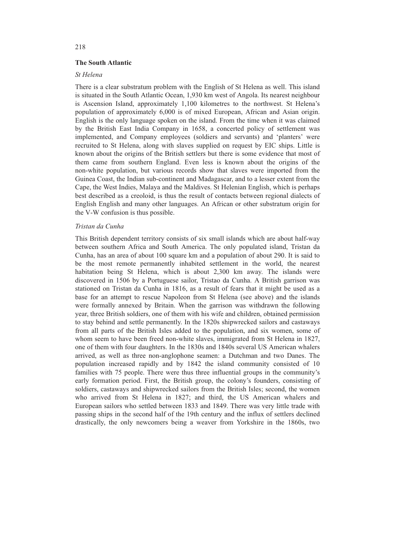#### **The South Atlantic**

#### *St Helena*

There is a clear substratum problem with the English of St Helena as well. This island is situated in the South Atlantic Ocean, 1,930 km west of Angola. Its nearest neighbour is Ascension Island, approximately 1,100 kilometres to the northwest. St Helena's population of approximately 6,000 is of mixed European, African and Asian origin. English is the only language spoken on the island. From the time when it was claimed by the British East India Company in 1658, a concerted policy of settlement was implemented, and Company employees (soldiers and servants) and 'planters' were recruited to St Helena, along with slaves supplied on request by EIC ships. Little is known about the origins of the British settlers but there is some evidence that most of them came from southern England. Even less is known about the origins of the non-white population, but various records show that slaves were imported from the Guinea Coast, the Indian sub-continent and Madagascar, and to a lesser extent from the Cape, the West Indies, Malaya and the Maldives. St Helenian English, which is perhaps best described as a creoloid, is thus the result of contacts between regional dialects of English English and many other languages. An African or other substratum origin for the V-W confusion is thus possible.

## *Tristan da Cunha*

This British dependent territory consists of six small islands which are about half-way between southern Africa and South America. The only populated island, Tristan da Cunha, has an area of about 100 square km and a population of about 290. It is said to be the most remote permanently inhabited settlement in the world, the nearest habitation being St Helena, which is about 2,300 km away. The islands were discovered in 1506 by a Portuguese sailor, Tristao da Cunha. A British garrison was stationed on Tristan da Cunha in 1816, as a result of fears that it might be used as a base for an attempt to rescue Napoleon from St Helena (see above) and the islands were formally annexed by Britain. When the garrison was withdrawn the following year, three British soldiers, one of them with his wife and children, obtained permission to stay behind and settle permanently. In the 1820s shipwrecked sailors and castaways from all parts of the British Isles added to the population, and six women, some of whom seem to have been freed non-white slaves, immigrated from St Helena in 1827. one of them with four daughters. In the 1830s and 1840s several US American whalers arrived, as well as three non-anglophone seamen: a Dutchman and two Danes. The population increased rapidly and by 1842 the island community consisted of 10 families with 75 people. There were thus three influential groups in the community's early formation period. First, the British group, the colony's founders, consisting of soldiers, castaways and shipwrecked sailors from the British Isles; second, the women who arrived from St Helena in 1827; and third, the US American whalers and European sailors who settled between 1833 and 1849. There was very little trade with passing ships in the second half of the 19th century and the influx of settlers declined drastically, the only newcomers being a weaver from Yorkshire in the 1860s, two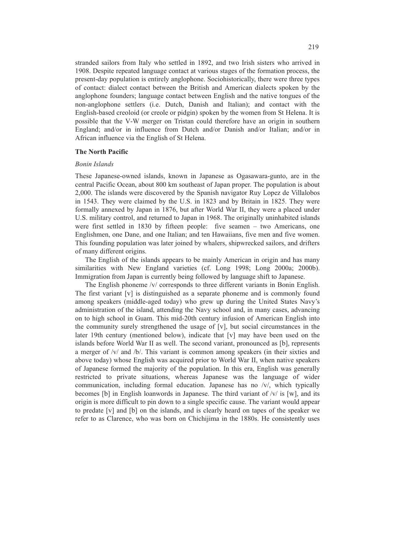stranded sailors from Italy who settled in 1892, and two Irish sisters who arrived in 1908. Despite repeated language contact at various stages of the formation process, the present-day population is entirely anglophone. Sociohistorically, there were three types of contact: dialect contact between the British and American dialects spoken by the anglophone founders; language contact between English and the native tongues of the non-anglophone settlers (i.e. Dutch, Danish and Italian); and contact with the English-based creoloid (or creole or pidgin) spoken by the women from St Helena. It is possible that the V-W merger on Tristan could therefore have an origin in southern England; and/or in influence from Dutch and/or Danish and/or Italian; and/or in African influence via the English of St Helena.

#### **The North Pacific**

## *Bonin Islands*

These Japanese-owned islands, known in Japanese as Ogasawara-gunto, are in the central Pacific Ocean, about 800 km southeast of Japan proper. The population is about 2,000. The islands were discovered by the Spanish navigator Ruy Lopez de Villalobos in 1543. They were claimed by the U.S. in 1823 and by Britain in 1825. They were formally annexed by Japan in 1876, but after World War II, they were a placed under U.S. military control, and returned to Japan in 1968. The originally uninhabited islands were first settled in 1830 by fifteen people: five seamen – two Americans, one Englishmen, one Dane, and one Italian; and ten Hawaiians, five men and five women. This founding population was later joined by whalers, shipwrecked sailors, and drifters of many different origins.

The English of the islands appears to be mainly American in origin and has many similarities with New England varieties (cf. Long 1998; Long 2000a; 2000b). Immigration from Japan is currently being followed by language shift to Japanese.

The English phoneme /v/ corresponds to three different variants in Bonin English. The first variant [v] is distinguished as a separate phoneme and is commonly found among speakers (middle-aged today) who grew up during the United States Navy's administration of the island, attending the Navy school and, in many cases, advancing on to high school in Guam. This mid-20th century infusion of American English into the community surely strengthened the usage of  $[v]$ , but social circumstances in the later 19th century (mentioned below), indicate that [v] may have been used on the islands before World War II as well. The second variant, pronounced as [b], represents a merger of /v/ and /b/. This variant is common among speakers (in their sixties and above today) whose English was acquired prior to World War II, when native speakers of Japanese formed the majority of the population. In this era, English was generally restricted to private situations, whereas Japanese was the language of wider communication, including formal education. Japanese has no  $/v/$ , which typically becomes [b] in English loanwords in Japanese. The third variant of  $\sqrt{v}$  is [w], and its origin is more difficult to pin down to a single specific cause. The variant would appear to predate [v] and [b] on the islands, and is clearly heard on tapes of the speaker we refer to as Clarence, who was born on Chichijima in the 1880s. He consistently uses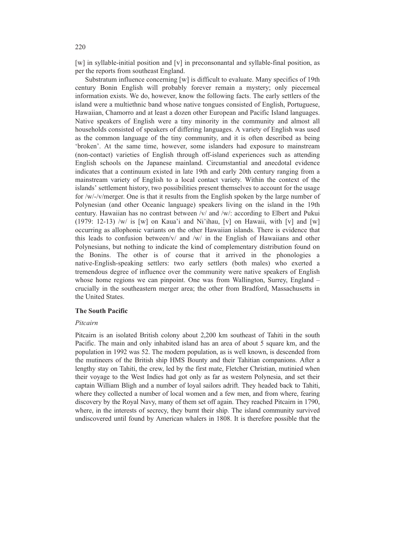[w] in syllable-initial position and [v] in preconsonantal and syllable-final position, as per the reports from southeast England.

Substratum influence concerning [w] is difficult to evaluate. Many specifics of 19th century Bonin English will probably forever remain a mystery; only piecemeal information exists. We do, however, know the following facts. The early settlers of the island were a multiethnic band whose native tongues consisted of English, Portuguese, Hawaiian, Chamorro and at least a dozen other European and Pacific Island languages. Native speakers of English were a tiny minority in the community and almost all households consisted of speakers of differing languages. A variety of English was used as the common language of the tiny community, and it is often described as being 'broken'. At the same time, however, some islanders had exposure to mainstream (non-contact) varieties of English through off-island experiences such as attending English schools on the Japanese mainland. Circumstantial and anecdotal evidence indicates that a continuum existed in late 19th and early 20th century ranging from a mainstream variety of English to a local contact variety. Within the context of the islands' settlement history, two possibilities present themselves to account for the usage for /w/-/v/merger. One is that it results from the English spoken by the large number of Polynesian (and other Oceanic language) speakers living on the island in the 19th century. Hawaiian has no contrast between /v/ and /w/: according to Elbert and Pukui  $(1979: 12-13)$  /w/ is [w] on Kaua'i and Ni'ihau, [v] on Hawaii, with [v] and [w] occurring as allophonic variants on the other Hawaiian islands. There is evidence that this leads to confusion between/v/ and /w/ in the English of Hawaiians and other Polynesians, but nothing to indicate the kind of complementary distribution found on the Bonins. The other is of course that it arrived in the phonologies a native-English-speaking settlers: two early settlers (both males) who exerted a tremendous degree of influence over the community were native speakers of English whose home regions we can pinpoint. One was from Wallington, Surrey, England – crucially in the southeastern merger area; the other from Bradford, Massachusetts in the United States.

## **The South Pacific**

#### *Pitcairn*

Pitcairn is an isolated British colony about 2,200 km southeast of Tahiti in the south Pacific. The main and only inhabited island has an area of about 5 square km, and the population in 1992 was 52. The modern population, as is well known, is descended from the mutineers of the British ship HMS Bounty and their Tahitian companions. After a lengthy stay on Tahiti, the crew, led by the first mate, Fletcher Christian, mutinied when their voyage to the West Indies had got only as far as western Polynesia, and set their captain William Bligh and a number of loyal sailors adrift. They headed back to Tahiti, where they collected a number of local women and a few men, and from where, fearing discovery by the Royal Navy, many of them set off again. They reached Pitcairn in 1790, where, in the interests of secrecy, they burnt their ship. The island community survived undiscovered until found by American whalers in 1808. It is therefore possible that the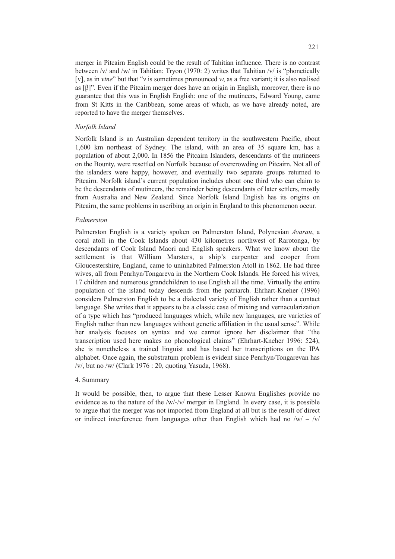merger in Pitcairn English could be the result of Tahitian influence. There is no contrast between /v/ and /w/ in Tahitian: Tryon (1970: 2) writes that Tahitian /v/ is "phonetically [v], as in *vine*" but that "*v* is sometimes pronounced *w*, as a free variant; it is also realised as  $\lceil \beta \rceil$ ". Even if the Pitcairn merger does have an origin in English, moreover, there is no guarantee that this was in English English: one of the mutineers, Edward Young, came from St Kitts in the Caribbean, some areas of which, as we have already noted, are reported to have the merger themselves.

## *Norfolk Island*

Norfolk Island is an Australian dependent territory in the southwestern Pacific, about 1,600 km northeast of Sydney. The island, with an area of 35 square km, has a population of about 2,000. In 1856 the Pitcairn Islanders, descendants of the mutineers on the Bounty, were resettled on Norfolk because of overcrowding on Pitcairn. Not all of the islanders were happy, however, and eventually two separate groups returned to Pitcairn. Norfolk island's current population includes about one third who can claim to be the descendants of mutineers, the remainder being descendants of later settlers, mostly from Australia and New Zealand. Since Norfolk Island English has its origins on Pitcairn, the same problems in ascribing an origin in England to this phenomenon occur.

#### *Palmerston*

Palmerston English is a variety spoken on Palmerston Island, Polynesian *Avarau*, a coral atoll in the Cook Islands about 430 kilometres northwest of Rarotonga, by descendants of Cook Island Maori and English speakers. What we know about the settlement is that William Marsters, a ship's carpenter and cooper from Gloucestershire, England, came to uninhabited Palmerston Atoll in 1862. He had three wives, all from Penrhyn/Tongareva in the Northern Cook Islands. He forced his wives, 17 children and numerous grandchildren to use English all the time. Virtually the entire population of the island today descends from the patriarch. Ehrhart-Kneher (1996) considers Palmerston English to be a dialectal variety of English rather than a contact language. She writes that it appears to be a classic case of mixing and vernacularization of a type which has "produced languages which, while new languages, are varieties of English rather than new languages without genetic affiliation in the usual sense". While her analysis focuses on syntax and we cannot ignore her disclaimer that "the transcription used here makes no phonological claims" (Ehrhart-Kneher 1996: 524), she is nonetheless a trained linguist and has based her transcriptions on the IPA alphabet. Once again, the substratum problem is evident since Penrhyn/Tongarevan has /v/, but no /w/ (Clark 1976 : 20, quoting Yasuda, 1968).

#### 4. Summary

It would be possible, then, to argue that these Lesser Known Englishes provide no evidence as to the nature of the  $/w/|v/$  merger in England. In every case, it is possible to argue that the merger was not imported from England at all but is the result of direct or indirect interference from languages other than English which had no  $/w - /v/$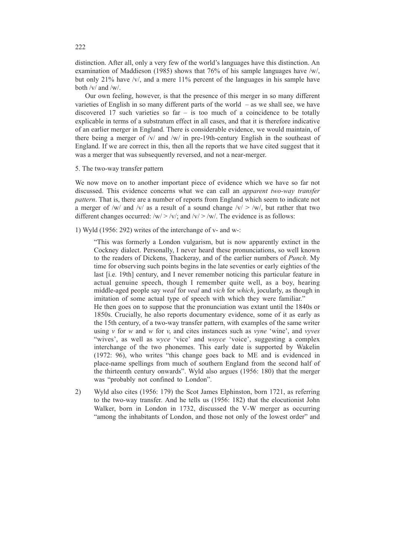distinction. After all, only a very few of the world's languages have this distinction. An examination of Maddieson (1985) shows that  $76\%$  of his sample languages have /w/, but only 21% have /v/, and a mere 11% percent of the languages in his sample have both  $/v/$  and  $/w/$ .

Our own feeling, however, is that the presence of this merger in so many different varieties of English in so many different parts of the world – as we shall see, we have discovered 17 such varieties so far  $-$  is too much of a coincidence to be totally explicable in terms of a substratum effect in all cases, and that it is therefore indicative of an earlier merger in England. There is considerable evidence, we would maintain, of there being a merger of  $\sqrt{v}$  and  $\sqrt{w}$  in pre-19th-century English in the southeast of England. If we are correct in this, then all the reports that we have cited suggest that it was a merger that was subsequently reversed, and not a near-merger.

5. The two-way transfer pattern

We now move on to another important piece of evidence which we have so far not discussed. This evidence concerns what we can call an *apparent two-way transfer pattern*. That is, there are a number of reports from England which seem to indicate not a merger of /w/ and /v/ as a result of a sound change /v/ > /w/, but rather that two different changes occurred:  $/w$  >  $/v$ ; and  $/v$  >  $/w$ . The evidence is as follows:

1) Wyld (1956: 292) writes of the interchange of v- and w-:

"This was formerly a London vulgarism, but is now apparently extinct in the Cockney dialect. Personally, I never heard these pronunciations, so well known to the readers of Dickens, Thackeray, and of the earlier numbers of *Punch*. My time for observing such points begins in the late seventies or early eighties of the last [i.e. 19th] century, and I never remember noticing this particular feature in actual genuine speech, though I remember quite well, as a boy, hearing middle-aged people say *weal* for *veal* and *vich* for *which*, jocularly, as though in imitation of some actual type of speech with which they were familiar."

He then goes on to suppose that the pronunciation was extant until the 1840s or 1850s. Crucially, he also reports documentary evidence, some of it as early as the 15th century, of a two-way transfer pattern, with examples of the same writer using *v* for *w* and *w* for *v*, and cites instances such as *vyne* 'wine', and *vyves* "wives', as well as *wyce* 'vice' and *woyce* 'voice', suggesting a complex interchange of the two phonemes. This early date is supported by Wakelin (1972: 96), who writes "this change goes back to ME and is evidenced in place-name spellings from much of southern England from the second half of the thirteenth century onwards". Wyld also argues (1956: 180) that the merger was "probably not confined to London".

2) Wyld also cites (1956: 179) the Scot James Elphinston, born 1721, as referring to the two-way transfer. And he tells us (1956: 182) that the elocutionist John Walker, born in London in 1732, discussed the V-W merger as occurring "among the inhabitants of London, and those not only of the lowest order" and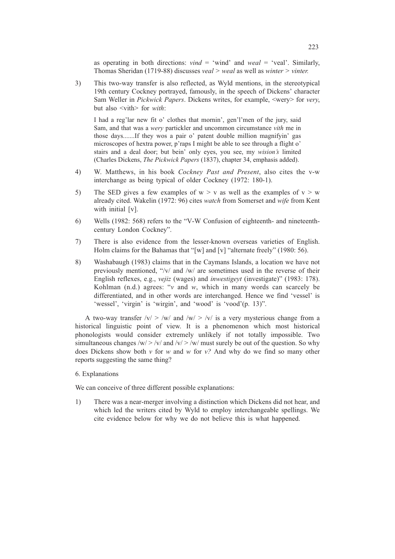as operating in both directions:  $\text{vind} = \text{`wind'}$  and  $\text{wcal} = \text{`veal'}$ . Similarly, Thomas Sheridan (1719-88) discusses *veal > weal* as well as *winter > vinter.*

3) This two-way transfer is also reflected, as Wyld mentions, in the stereotypical 19th century Cockney portrayed, famously, in the speech of Dickens' character Sam Weller in *Pickwick Papers*. Dickens writes, for example, <wery> for *very*, but also <vith> for *with*:

I had a reg'lar new fit o' clothes that mornin', gen'l'men of the jury, said Sam, and that was a *wery* partickler and uncommon circumstance *vith* me in those days.......If they wos a pair o' patent double million magnifyin' gas microscopes of hextra power, p'raps I might be able to see through a flight o' stairs and a deal door; but bein' only eyes, you see, my *wision's* limited (Charles Dickens, *The Pickwick Papers* (1837), chapter 34, emphasis added).

- 4) W. Matthews, in his book *Cockney Past and Present*, also cites the v-w interchange as being typical of older Cockney (1972: 180-1).
- 5) The SED gives a few examples of  $w > v$  as well as the examples of  $v > w$ already cited. Wakelin (1972: 96) cites *watch* from Somerset and *wife* from Kent with initial [v].
- 6) Wells (1982: 568) refers to the "V-W Confusion of eighteenth- and nineteenthcentury London Cockney".
- 7) There is also evidence from the lesser-known overseas varieties of English. Holm claims for the Bahamas that "[w] and [v] "alternate freely" (1980: 56).
- 8) Washabaugh (1983) claims that in the Caymans Islands, a location we have not previously mentioned, "/v/ and /w/ are sometimes used in the reverse of their English reflexes, e.g., *vejiz* (wages) and *inwestigeyt* (investigate)" (1983: 178). Kohlman (n.d.) agrees: "*v* and *w*, which in many words can scarcely be differentiated, and in other words are interchanged. Hence we find 'vessel' is 'wessel', 'virgin' is 'wirgin', and 'wood' is 'vood'(p. 13)".

A two-way transfer  $|v| > |w|$  and  $|w| > |v|$  is a very mysterious change from a historical linguistic point of view. It is a phenomenon which most historical phonologists would consider extremely unlikely if not totally impossible. Two simultaneous changes /w/ > /v/ and /v/ > /w/ must surely be out of the question. So why does Dickens show both *v* for *w* and *w* for *v?* And why do we find so many other reports suggesting the same thing?

## 6. Explanations

We can conceive of three different possible explanations:

1) There was a near-merger involving a distinction which Dickens did not hear, and which led the writers cited by Wyld to employ interchangeable spellings. We cite evidence below for why we do not believe this is what happened.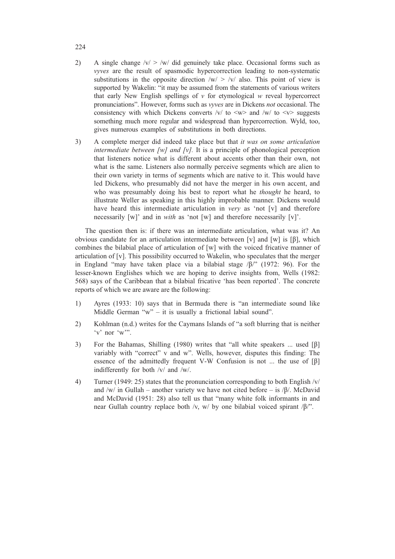- 2) A single change  $\sqrt{v}$  >  $\sqrt{w}$  did genuinely take place. Occasional forms such as *vyves* are the result of spasmodic hypercorrection leading to non-systematic substitutions in the opposite direction  $/w/ > /v/$  also. This point of view is supported by Wakelin: "it may be assumed from the statements of various writers that early New English spellings of  $\nu$  for etymological  $w$  reveal hypercorrect pronunciations". However, forms such as *vyves* are in Dickens *not* occasional. The consistency with which Dickens converts  $\sqrt{v}$  to  $\ll v$  and  $\sqrt{w}$  to  $\ll v$  suggests something much more regular and widespread than hypercorrection. Wyld, too, gives numerous examples of substitutions in both directions.
- 3) A complete merger did indeed take place but that *it was on some articulation intermediate between [w] and [v].* It is a principle of phonological perception that listeners notice what is different about accents other than their own, not what is the same. Listeners also normally perceive segments which are alien to their own variety in terms of segments which are native to it. This would have led Dickens, who presumably did not have the merger in his own accent, and who was presumably doing his best to report what he *thought* he heard, to illustrate Weller as speaking in this highly improbable manner. Dickens would have heard this intermediate articulation in *very* as 'not [v] and therefore necessarily [w]' and in *with* as 'not [w] and therefore necessarily [v]'.

The question then is: if there was an intermediate articulation, what was it? An obvious candidate for an articulation intermediate between [v] and [w] is [ $\beta$ ], which combines the bilabial place of articulation of [w] with the voiced fricative manner of articulation of [v]. This possibility occurred to Wakelin, who speculates that the merger in England "may have taken place via a bilabial stage  $\beta$ " (1972: 96). For the lesser-known Englishes which we are hoping to derive insights from, Wells (1982: 568) says of the Caribbean that a bilabial fricative 'has been reported'. The concrete reports of which we are aware are the following:

- 1) Ayres (1933: 10) says that in Bermuda there is "an intermediate sound like Middle German "w" – it is usually a frictional labial sound".
- 2) Kohlman (n.d.) writes for the Caymans Islands of "a soft blurring that is neither  $\mathbf{v}'$  nor  $\mathbf{w}$ ".
- 3) For the Bahamas, Shilling (1980) writes that "all white speakers ... used [B] variably with "correct" v and w". Wells, however, disputes this finding: The essence of the admittedly frequent V-W Confusion is not ... the use of [B] indifferently for both /v/ and /w/.
- 4) Turner (1949: 25) states that the pronunciation corresponding to both English /v/ and /w/ in Gullah – another variety we have not cited before – is  $/\beta$ . McDavid and McDavid (1951: 28) also tell us that "many white folk informants in and near Gullah country replace both /v, w/ by one bilabial voiced spirant  $(\beta)$ ".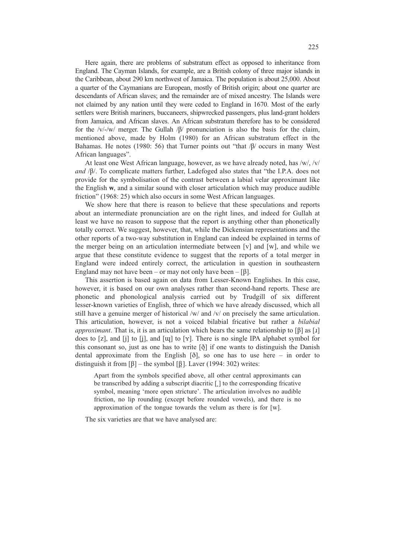Here again, there are problems of substratum effect as opposed to inheritance from England. The Cayman Islands, for example, are a British colony of three major islands in the Caribbean, about 290 km northwest of Jamaica. The population is about 25,000. About a quarter of the Caymanians are European, mostly of British origin; about one quarter are descendants of African slaves; and the remainder are of mixed ancestry. The Islands were not claimed by any nation until they were ceded to England in 1670. Most of the early settlers were British mariners, buccaneers, shipwrecked passengers, plus land-grant holders from Jamaica, and African slaves. An African substratum therefore has to be considered for the  $\sqrt{v}$ -/w/ merger. The Gullah  $\sqrt{\beta}$  pronunciation is also the basis for the claim, mentioned above, made by Holm (1980) for an African substratum effect in the Bahamas. He notes (1980: 56) that Turner points out "that  $\beta$  occurs in many West African languages".

At least one West African language, however, as we have already noted, has /w/, /v/ *and* /B/. To complicate matters further, Ladefoged also states that "the I.P.A. does not provide for the symbolisation of the contrast between a labial velar approximant like the English **w**, and a similar sound with closer articulation which may produce audible friction" (1968: 25) which also occurs in some West African languages.

We show here that there is reason to believe that these speculations and reports about an intermediate pronunciation are on the right lines, and indeed for Gullah at least we have no reason to suppose that the report is anything other than phonetically totally correct. We suggest, however, that, while the Dickensian representations and the other reports of a two-way substitution in England can indeed be explained in terms of the merger being on an articulation intermediate between [v] and [w], and while we argue that these constitute evidence to suggest that the reports of a total merger in England were indeed entirely correct, the articulation in question in southeastern England may not have been – or may not only have been – [ $\beta$ ].

This assertion is based again on data from Lesser-Known Englishes. In this case, however, it is based on our own analyses rather than second-hand reports. These are phonetic and phonological analysis carried out by Trudgill of six different lesser-known varieties of English, three of which we have already discussed, which all still have a genuine merger of historical  $/w/$  and  $/v/$  on precisely the same articulation. This articulation, however, is not a voiced bilabial fricative but rather a *bilabial approximant*. That is, it is an articulation which bears the same relationship to  $\lceil \beta \rceil$  as  $\lceil 1 \rceil$ does to [z], and [i] to [i], and [ $\mu$ ] to [ $\gamma$ ]. There is no single IPA alphabet symbol for this consonant so, just as one has to write  $\lceil \delta \rceil$  if one wants to distinguish the Danish dental approximate from the English  $[\delta]$ , so one has to use here – in order to distinguish it from  $\lceil \beta \rceil$  – the symbol  $\lceil \beta \rceil$ . Laver (1994: 302) writes:

Apart from the symbols specified above, all other central approximants can be transcribed by adding a subscript diacritic  $\lceil \cdot \rceil$  to the corresponding fricative symbol, meaning 'more open stricture'. The articulation involves no audible friction, no lip rounding (except before rounded vowels), and there is no approximation of the tongue towards the velum as there is for [w].

The six varieties are that we have analysed are: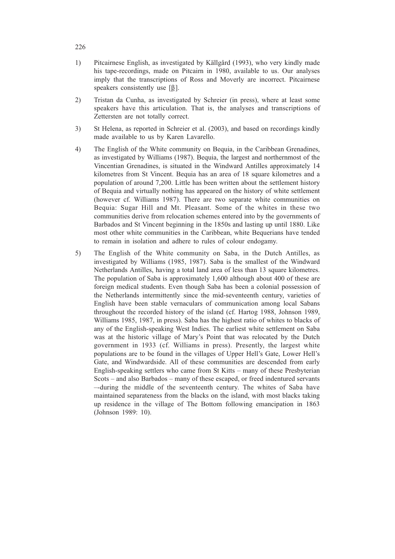- 1) Pitcairnese English, as investigated by Källgård (1993), who very kindly made his tape-recordings, made on Pitcairn in 1980, available to us. Our analyses imply that the transcriptions of Ross and Moverly are incorrect. Pitcairnese speakers consistently use  $[ $\beta$ ].$
- 2) Tristan da Cunha, as investigated by Schreier (in press), where at least some speakers have this articulation. That is, the analyses and transcriptions of Zettersten are not totally correct.
- 3) St Helena, as reported in Schreier et al. (2003), and based on recordings kindly made available to us by Karen Lavarello.
- 4) The English of the White community on Bequia, in the Caribbean Grenadines, as investigated by Williams (1987). Bequia, the largest and northernmost of the Vincentian Grenadines, is situated in the Windward Antilles approximately 14 kilometres from St Vincent. Bequia has an area of 18 square kilometres and a population of around 7,200. Little has been written about the settlement history of Bequia and virtually nothing has appeared on the history of white settlement (however cf. Williams 1987). There are two separate white communities on Bequia: Sugar Hill and Mt. Pleasant. Some of the whites in these two communities derive from relocation schemes entered into by the governments of Barbados and St Vincent beginning in the 1850s and lasting up until 1880. Like most other white communities in the Caribbean, white Bequerians have tended to remain in isolation and adhere to rules of colour endogamy.
- 5) The English of the White community on Saba, in the Dutch Antilles, as investigated by Williams (1985, 1987). Saba is the smallest of the Windward Netherlands Antilles, having a total land area of less than 13 square kilometres. The population of Saba is approximately 1,600 although about 400 of these are foreign medical students. Even though Saba has been a colonial possession of the Netherlands intermittently since the mid-seventeenth century, varieties of English have been stable vernaculars of communication among local Sabans throughout the recorded history of the island (cf. Hartog 1988, Johnson 1989, Williams 1985, 1987, in press). Saba has the highest ratio of whites to blacks of any of the English-speaking West Indies. The earliest white settlement on Saba was at the historic village of Mary's Point that was relocated by the Dutch government in 1933 (cf. Williams in press). Presently, the largest white populations are to be found in the villages of Upper Hell's Gate, Lower Hell's Gate, and Windwardside. All of these communities are descended from early English-speaking settlers who came from St Kitts – many of these Presbyterian Scots – and also Barbados – many of these escaped, or freed indentured servants –-during the middle of the seventeenth century. The whites of Saba have maintained separateness from the blacks on the island, with most blacks taking up residence in the village of The Bottom following emancipation in 1863 (Johnson 1989: 10).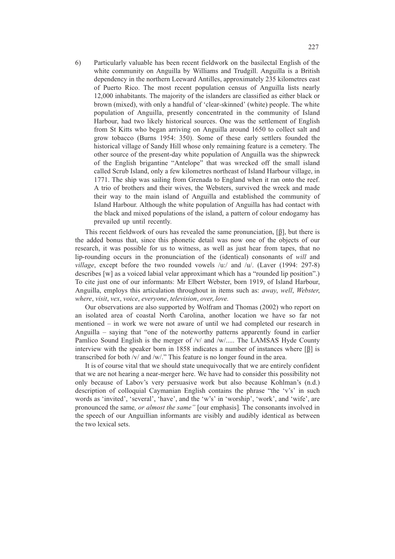6) Particularly valuable has been recent fieldwork on the basilectal English of the white community on Anguilla by Williams and Trudgill. Anguilla is a British dependency in the northern Leeward Antilles, approximately 235 kilometres east of Puerto Rico. The most recent population census of Anguilla lists nearly 12,000 inhabitants. The majority of the islanders are classified as either black or brown (mixed), with only a handful of 'clear-skinned' (white) people. The white population of Anguilla, presently concentrated in the community of Island Harbour, had two likely historical sources. One was the settlement of English from St Kitts who began arriving on Anguilla around 1650 to collect salt and grow tobacco (Burns 1954: 350). Some of these early settlers founded the historical village of Sandy Hill whose only remaining feature is a cemetery. The other source of the present-day white population of Anguilla was the shipwreck of the English brigantine "Antelope" that was wrecked off the small island called Scrub Island, only a few kilometres northeast of Island Harbour village, in 1771. The ship was sailing from Grenada to England when it ran onto the reef. A trio of brothers and their wives, the Websters, survived the wreck and made their way to the main island of Anguilla and established the community of Island Harbour. Although the white population of Anguilla has had contact with the black and mixed populations of the island, a pattern of colour endogamy has prevailed up until recently.

This recent fieldwork of ours has revealed the same pronunciation,  $[\beta]$ , but there is the added bonus that, since this phonetic detail was now one of the objects of our research, it was possible for us to witness, as well as just hear from tapes, that no lip-rounding occurs in the pronunciation of the (identical) consonants of *will* and *village*, except before the two rounded vowels /u:/ and /u/. (Laver (1994: 297-8) describes [w] as a voiced labial velar approximant which has a "rounded lip position".) To cite just one of our informants: Mr Elbert Webster, born 1919, of Island Harbour, Anguilla, employs this articulation throughout in items such as: *away*, *well*, *Webster*, *where*, *visit*, *vex*, *voice*, *everyone*, *television*, *over*, *love.*

Our observations are also supported by Wolfram and Thomas (2002) who report on an isolated area of coastal North Carolina, another location we have so far not mentioned – in work we were not aware of until we had completed our research in Anguilla – saying that "one of the noteworthy patterns apparently found in earlier Pamlico Sound English is the merger of /v/ and /w/..... The LAMSAS Hyde County interview with the speaker born in 1858 indicates a number of instances where  $\lceil \beta \rceil$  is transcribed for both /v/ and /w/." This feature is no longer found in the area.

It is of course vital that we should state unequivocally that we are entirely confident that we are not hearing a near-merger here. We have had to consider this possibility not only because of Labov's very persuasive work but also because Kohlman's (n.d.) description of colloquial Caymanian English contains the phrase "the 'v's' in such words as 'invited', 'several', 'have', and the 'w's' in 'worship', 'work', and 'wife', are pronounced the same*, or almost the same"* [our emphasis]*.* The consonants involved in the speech of our Anguillian informants are visibly and audibly identical as between the two lexical sets.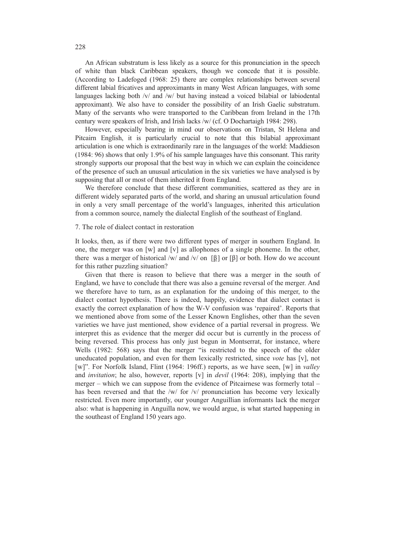An African substratum is less likely as a source for this pronunciation in the speech of white than black Caribbean speakers, though we concede that it is possible. (According to Ladefoged (1968: 25) there are complex relationships between several different labial fricatives and approximants in many West African languages, with some languages lacking both /v/ and /w/ but having instead a voiced bilabial or labiodental approximant). We also have to consider the possibility of an Irish Gaelic substratum. Many of the servants who were transported to the Caribbean from Ireland in the 17th century were speakers of Irish, and Irish lacks /w/ (cf. O Dochartaigh 1984: 298).

However, especially bearing in mind our observations on Tristan, St Helena and Pitcairn English, it is particularly crucial to note that this bilabial approximant articulation is one which is extraordinarily rare in the languages of the world: Maddieson (1984: 96) shows that only 1.9% of his sample languages have this consonant. This rarity strongly supports our proposal that the best way in which we can explain the coincidence of the presence of such an unusual articulation in the six varieties we have analysed is by supposing that all or most of them inherited it from England.

We therefore conclude that these different communities, scattered as they are in different widely separated parts of the world, and sharing an unusual articulation found in only a very small percentage of the world's languages, inherited this articulation from a common source, namely the dialectal English of the southeast of England.

#### 7. The role of dialect contact in restoration

It looks, then, as if there were two different types of merger in southern England. In one, the merger was on [w] and [v] as allophones of a single phoneme. In the other, there was a merger of historical /w/ and /v/ on  $\lceil \frac{\beta}{2} \rceil$  or  $\lceil \beta \rceil$  or both. How do we account for this rather puzzling situation?

Given that there is reason to believe that there was a merger in the south of England, we have to conclude that there was also a genuine reversal of the merger. And we therefore have to turn, as an explanation for the undoing of this merger, to the dialect contact hypothesis. There is indeed, happily, evidence that dialect contact is exactly the correct explanation of how the W-V confusion was 'repaired'. Reports that we mentioned above from some of the Lesser Known Englishes, other than the seven varieties we have just mentioned, show evidence of a partial reversal in progress. We interpret this as evidence that the merger did occur but is currently in the process of being reversed. This process has only just begun in Montserrat, for instance, where Wells (1982: 568) says that the merger "is restricted to the speech of the older uneducated population, and even for them lexically restricted, since *vote* has [v], not [w]". For Norfolk Island, Flint (1964: 196ff.) reports, as we have seen, [w] in *valley* and *invitation*; he also, however, reports [v] in *devil* (1964: 208), implying that the merger – which we can suppose from the evidence of Pitcairnese was formerly total – has been reversed and that the /w/ for /v/ pronunciation has become very lexically restricted. Even more importantly, our younger Anguillian informants lack the merger also: what is happening in Anguilla now, we would argue, is what started happening in the southeast of England 150 years ago.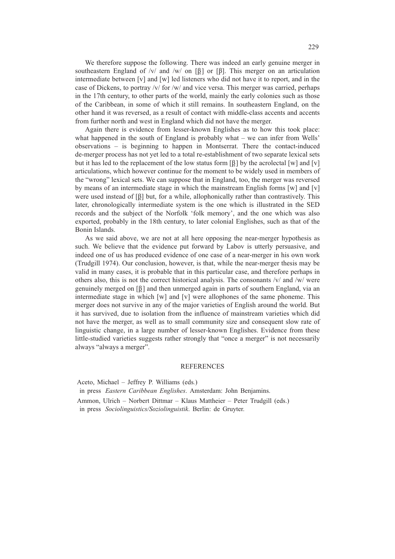We therefore suppose the following. There was indeed an early genuine merger in southeastern England of /v/ and /w/ on  $\lceil \frac{\beta}{2} \rceil$  or  $\lceil \frac{\beta}{2} \rceil$ . This merger on an articulation intermediate between [v] and [w] led listeners who did not have it to report, and in the case of Dickens, to portray /v/ for /w/ and vice versa. This merger was carried, perhaps in the 17th century, to other parts of the world, mainly the early colonies such as those of the Caribbean, in some of which it still remains. In southeastern England, on the other hand it was reversed, as a result of contact with middle-class accents and accents from further north and west in England which did not have the merger.

Again there is evidence from lesser-known Englishes as to how this took place: what happened in the south of England is probably what – we can infer from Wells' observations – is beginning to happen in Montserrat. There the contact-induced de-merger process has not yet led to a total re-establishment of two separate lexical sets but it has led to the replacement of the low status form  $\left[\begin{smallmatrix} 0 \\ 1 \end{smallmatrix}\right]$  by the acrolectal  $\left[w\right]$  and  $\left[v\right]$ articulations, which however continue for the moment to be widely used in members of the "wrong" lexical sets. We can suppose that in England, too, the merger was reversed by means of an intermediate stage in which the mainstream English forms [w] and [v] were used instead of  $\lceil \frac{\beta}{2} \rceil$  but, for a while, allophonically rather than contrastively. This later, chronologically intermediate system is the one which is illustrated in the SED records and the subject of the Norfolk 'folk memory', and the one which was also exported, probably in the 18th century, to later colonial Englishes, such as that of the Bonin Islands.

As we said above, we are not at all here opposing the near-merger hypothesis as such. We believe that the evidence put forward by Labov is utterly persuasive, and indeed one of us has produced evidence of one case of a near-merger in his own work (Trudgill 1974). Our conclusion, however, is that, while the near-merger thesis may be valid in many cases, it is probable that in this particular case, and therefore perhaps in others also, this is not the correct historical analysis. The consonants  $/v/$  and  $/w/$  were genuinely merged on  $\lceil \beta \rceil$  and then unmerged again in parts of southern England, via an intermediate stage in which [w] and [v] were allophones of the same phoneme. This merger does not survive in any of the major varieties of English around the world. But it has survived, due to isolation from the influence of mainstream varieties which did not have the merger, as well as to small community size and consequent slow rate of linguistic change, in a large number of lesser-known Englishes. Evidence from these little-studied varieties suggests rather strongly that "once a merger" is not necessarily always "always a merger".

## REFERENCES

Aceto, Michael – Jeffrey P. Williams (eds*.*) in press *Eastern Caribbean Englishes*. Amsterdam: John Benjamins.

Ammon, Ulrich – Norbert Dittmar – Klaus Mattheier – Peter Trudgill (eds.) in press *Sociolinguistics/Soziolinguistik*. Berlin: de Gruyter.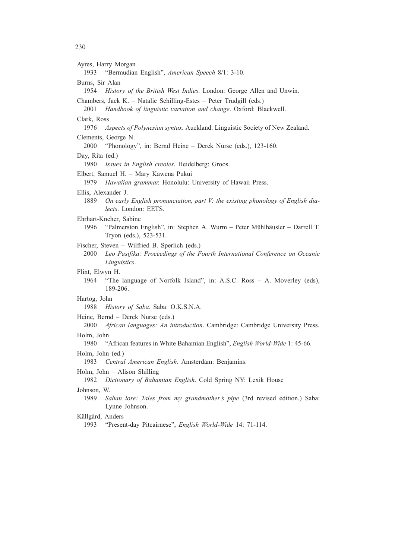| Ayres, Harry Morgan<br>"Bermudian English", American Speech 8/1: 3-10.<br>1933                                 |
|----------------------------------------------------------------------------------------------------------------|
| Burns, Sir Alan                                                                                                |
| History of the British West Indies. London: George Allen and Unwin.<br>1954                                    |
| Chambers, Jack K. - Natalie Schilling-Estes - Peter Trudgill (eds.)                                            |
| Handbook of linguistic variation and change. Oxford: Blackwell.<br>2001                                        |
| Clark, Ross                                                                                                    |
| 1976<br>Aspects of Polynesian syntax. Auckland: Linguistic Society of New Zealand.                             |
| Clements, George N.                                                                                            |
| "Phonology", in: Bernd Heine – Derek Nurse (eds.), 123-160.<br>2000                                            |
| Day, Rita (ed.)                                                                                                |
| Issues in English creoles. Heidelberg: Groos.<br>1980                                                          |
| Elbert, Samuel H. - Mary Kawena Pukui                                                                          |
| Hawaiian grammar. Honolulu: University of Hawaii Press.<br>1979                                                |
| Ellis, Alexander J.                                                                                            |
| On early English pronunciation, part V: the existing phonology of English dia-<br>1889<br>lects. London: EETS. |
| Ehrhart-Kneher, Sabine                                                                                         |
| "Palmerston English", in: Stephen A. Wurm - Peter Mühlhäusler - Darrell T.<br>1996                             |
| Tryon (eds.), 523-531.                                                                                         |
| Fischer, Steven - Wilfried B. Sperlich (eds.)                                                                  |
| Leo Pasifika: Proceedings of the Fourth International Conference on Oceanic<br>2000                            |
| Linguistics.                                                                                                   |
| Flint, Elwyn H.                                                                                                |
| 1964<br>"The language of Norfolk Island", in: A.S.C. Ross - A. Moverley (eds),<br>189-206.                     |
| Hartog, John                                                                                                   |
| History of Saba. Saba: O.K.S.N.A.<br>1988                                                                      |
| Heine, Bernd - Derek Nurse (eds.)                                                                              |
| African languages: An introduction. Cambridge: Cambridge University Press.<br>2000                             |
| Holm, John                                                                                                     |
| 1980<br>"African features in White Bahamian English", English World-Wide 1: 45-66.                             |
| Holm, John (ed.)                                                                                               |
| 1983<br>Central American English. Amsterdam: Benjamins.                                                        |
| Holm, John - Alison Shilling                                                                                   |
| Dictionary of Bahamian English. Cold Spring NY: Lexik House<br>1982                                            |
| Johnson, W.                                                                                                    |
| Saban lore: Tales from my grandmother's pipe (3rd revised edition.) Saba:<br>1989<br>Lynne Johnson.            |
| Källgård, Anders                                                                                               |
| "Present-day Pitcairnese", English World-Wide 14: 71-114.<br>1993                                              |
|                                                                                                                |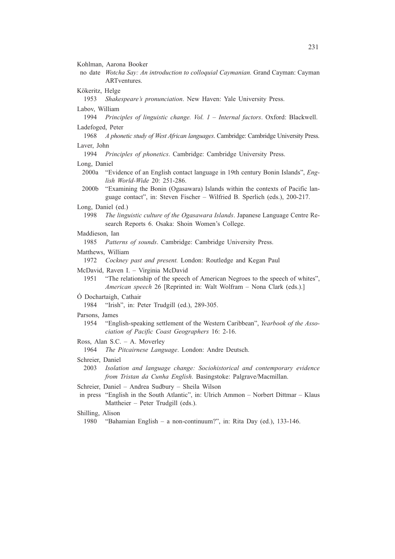Kohlman, Aarona Booker no date *Wotcha Say: An introduction to colloquial Caymanian.* Grand Cayman: Cayman ARTventures. Kökeritz, Helge 1953 *Shakespeare's pronunciation*. New Haven: Yale University Press. Labov, William 1994 *Principles of linguistic change. Vol. 1 – Internal factors*. Oxford: Blackwell. Ladefoged, Peter 1968 *A phonetic study of West African languages*. Cambridge: Cambridge University Press. Laver, John 1994 *Principles of phonetics*. Cambridge: Cambridge University Press. Long, Daniel 2000a "Evidence of an English contact language in 19th century Bonin Islands", *English World-Wide* 20: 251-286. 2000b "Examining the Bonin (Ogasawara) Islands within the contexts of Pacific language contact", in: Steven Fischer – Wilfried B. Sperlich (eds.), 200-217. Long, Daniel (ed.) 1998 *The linguistic culture of the Ogasawara Islands*. Japanese Language Centre Research Reports 6. Osaka: Shoin Women's College. Maddieson, Ian 1985 *Patterns of sounds*. Cambridge: Cambridge University Press. Matthews, William 1972 *Cockney past and present.* London: Routledge and Kegan Paul McDavid, Raven I. – Virginia McDavid 1951 "The relationship of the speech of American Negroes to the speech of whites", *American speech* 26 [Reprinted in: Walt Wolfram – Nona Clark (eds.).] Ó Dochartaigh, Cathair 1984 "Irish", in: Peter Trudgill (ed.), 289-305. Parsons, James 1954 "English-speaking settlement of the Western Caribbean", *Yearbook of the Association of Pacific Coast Geographers* 16: 2-16. Ross, Alan S.C. – A. Moverley 1964 *The Pitcairnese Language*. London: Andre Deutsch. Schreier, Daniel 2003 *Isolation and language change: Sociohistorical and contemporary evidence from Tristan da Cunha English*. Basingstoke: Palgrave/Macmillan. Schreier, Daniel – Andrea Sudbury – Sheila Wilson in press "English in the South Atlantic", in: Ulrich Ammon – Norbert Dittmar – Klaus Mattheier – Peter Trudgill (eds.). Shilling, Alison 1980 "Bahamian English – a non-continuum?", in: Rita Day (ed.), 133-146.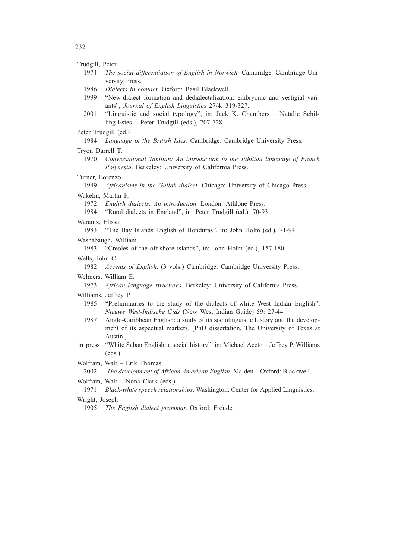Trudgill, Peter

- 1974 *The social differentiation of English in Norwich.* Cambridge: Cambridge University Press.
- 1986 *Dialects in contact*. Oxford: Basil Blackwell.
- 1999 "New-dialect formation and dedialectalization: embryonic and vestigial variants", *Journal of English Linguistics* 27/4: 319-327.
- 2001 "Linguistic and social typology", in: Jack K. Chambers Natalie Schilling-Estes – Peter Trudgill (eds.), 707-728.

## Peter Trudgill (ed.)

1984 *Language in the British Isles*. Cambridge: Cambridge University Press.

#### Tryon Darrell T.

1970 *Conversational Tahitian: An introduction to the Tahitian language of French Polynesia*. Berkeley: University of California Press.

#### Turner, Lorenzo

1949 *Africanisms in the Gullah dialect.* Chicago: University of Chicago Press.

Wakelin, Martin F.

1972 *English dialects: An introduction*. London: Athlone Press.

1984 "Rural dialects in England", in: Peter Trudgill (ed.), 70-93.

#### Warantz, Elissa

1983 "The Bay Islands English of Honduras", in: John Holm (ed.), 71-94.

#### Washabaugh, William

1983 "Creoles of the off-shore islands", in: John Holm (ed.), 157-180.

#### Wells, John C.

1982 *Accents of English*. (3 vols.) Cambridge: Cambridge University Press.

#### Welmers, William E.

1973 *African language structures*. Berkeley: University of California Press.

#### Williams, Jeffrey P.

- 1985 "Preliminaries to the study of the dialects of white West Indian English", *Nieuwe West-Indische Gids* (New West Indian Guide) 59: 27-44.
- 1987 Anglo-Caribbean English: a study of its sociolinguistic history and the development of its aspectual markers. [PhD dissertation, The University of Texas at Austin.]
- in press "White Saban English: a social history", in: Michael Aceto Jeffrey P. Williams (eds*.*).

Wolfram, Walt – Erik Thomas

2002 *The development of African American English*. Malden – Oxford: Blackwell.

#### Wolfram, Walt – Nona Clark (eds.)

1971 *Black-white speech relationships*. Washington: Center for Applied Linguistics.

#### Wright, Joseph

1905 *The English dialect grammar*. Oxford: Froude.